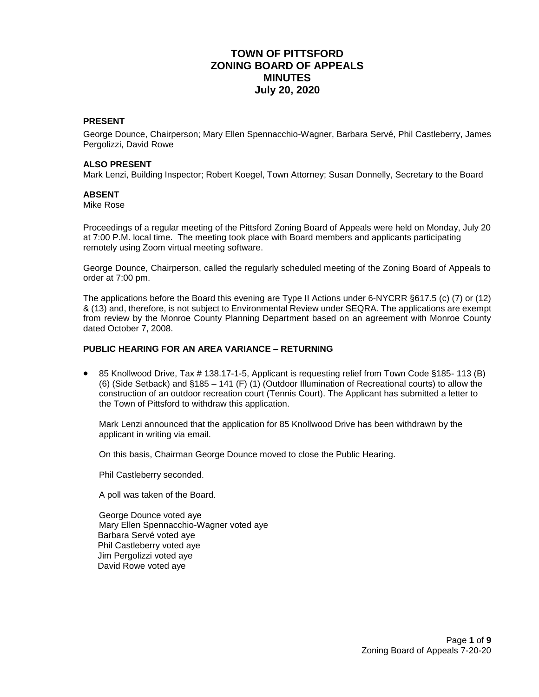# **TOWN OF PITTSFORD ZONING BOARD OF APPEALS MINUTES July 20, 2020**

### **PRESENT**

George Dounce, Chairperson; Mary Ellen Spennacchio-Wagner, Barbara Servé, Phil Castleberry, James Pergolizzi, David Rowe

#### **ALSO PRESENT**

Mark Lenzi, Building Inspector; Robert Koegel, Town Attorney; Susan Donnelly, Secretary to the Board

#### **ABSENT**

Mike Rose

Proceedings of a regular meeting of the Pittsford Zoning Board of Appeals were held on Monday, July 20 at 7:00 P.M. local time. The meeting took place with Board members and applicants participating remotely using Zoom virtual meeting software.

George Dounce, Chairperson, called the regularly scheduled meeting of the Zoning Board of Appeals to order at 7:00 pm.

The applications before the Board this evening are Type II Actions under 6-NYCRR §617.5 (c) (7) or (12) & (13) and, therefore, is not subject to Environmental Review under SEQRA. The applications are exempt from review by the Monroe County Planning Department based on an agreement with Monroe County dated October 7, 2008.

### **PUBLIC HEARING FOR AN AREA VARIANCE – RETURNING**

 85 Knollwood Drive, Tax # 138.17-1-5, Applicant is requesting relief from Town Code §185- 113 (B) (6) (Side Setback) and §185 – 141 (F) (1) (Outdoor Illumination of Recreational courts) to allow the construction of an outdoor recreation court (Tennis Court). The Applicant has submitted a letter to the Town of Pittsford to withdraw this application.

Mark Lenzi announced that the application for 85 Knollwood Drive has been withdrawn by the applicant in writing via email.

On this basis, Chairman George Dounce moved to close the Public Hearing.

Phil Castleberry seconded.

A poll was taken of the Board.

George Dounce voted aye Mary Ellen Spennacchio-Wagner voted aye Barbara Servé voted aye Phil Castleberry voted aye Jim Pergolizzi voted aye David Rowe voted aye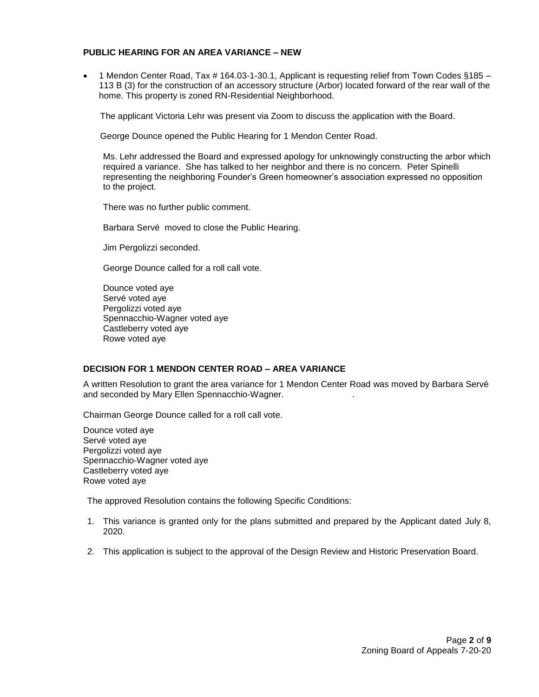#### **PUBLIC HEARING FOR AN AREA VARIANCE – NEW**

 1 Mendon Center Road, Tax # 164.03-1-30.1, Applicant is requesting relief from Town Codes §185 – 113 B (3) for the construction of an accessory structure (Arbor) located forward of the rear wall of the home. This property is zoned RN-Residential Neighborhood.

The applicant Victoria Lehr was present via Zoom to discuss the application with the Board.

George Dounce opened the Public Hearing for 1 Mendon Center Road.

Ms. Lehr addressed the Board and expressed apology for unknowingly constructing the arbor which required a variance. She has talked to her neighbor and there is no concern. Peter Spinelli representing the neighboring Founder's Green homeowner's association expressed no opposition to the project.

There was no further public comment.

Barbara Servé moved to close the Public Hearing.

Jim Pergolizzi seconded.

George Dounce called for a roll call vote.

Dounce voted aye Servé voted aye Pergolizzi voted aye Spennacchio-Wagner voted aye Castleberry voted aye Rowe voted aye

### **DECISION FOR 1 MENDON CENTER ROAD – AREA VARIANCE**

A written Resolution to grant the area variance for 1 Mendon Center Road was moved by Barbara Servé and seconded by Mary Ellen Spennacchio-Wagner. .

Chairman George Dounce called for a roll call vote.

Dounce voted aye Servé voted aye Pergolizzi voted aye Spennacchio-Wagner voted aye Castleberry voted aye Rowe voted aye

The approved Resolution contains the following Specific Conditions:

- 1. This variance is granted only for the plans submitted and prepared by the Applicant dated July 8, 2020.
- 2. This application is subject to the approval of the Design Review and Historic Preservation Board.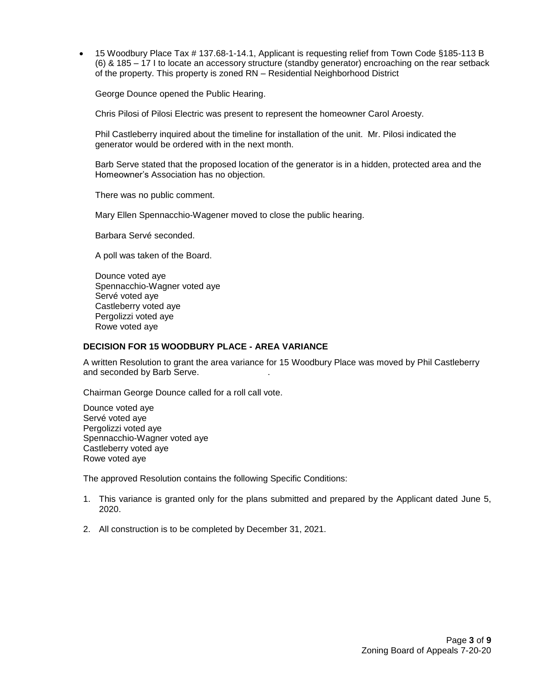15 Woodbury Place Tax # 137.68-1-14.1, Applicant is requesting relief from Town Code §185-113 B (6) & 185 – 17 I to locate an accessory structure (standby generator) encroaching on the rear setback of the property. This property is zoned RN – Residential Neighborhood District

George Dounce opened the Public Hearing.

Chris Pilosi of Pilosi Electric was present to represent the homeowner Carol Aroesty.

Phil Castleberry inquired about the timeline for installation of the unit. Mr. Pilosi indicated the generator would be ordered with in the next month.

Barb Serve stated that the proposed location of the generator is in a hidden, protected area and the Homeowner's Association has no objection.

There was no public comment.

Mary Ellen Spennacchio-Wagener moved to close the public hearing.

Barbara Servé seconded.

A poll was taken of the Board.

Dounce voted aye Spennacchio-Wagner voted aye Servé voted aye Castleberry voted aye Pergolizzi voted aye Rowe voted aye

### **DECISION FOR 15 WOODBURY PLACE - AREA VARIANCE**

A written Resolution to grant the area variance for 15 Woodbury Place was moved by Phil Castleberry and seconded by Barb Serve.

Chairman George Dounce called for a roll call vote.

Dounce voted aye Servé voted aye Pergolizzi voted aye Spennacchio-Wagner voted aye Castleberry voted aye Rowe voted aye

The approved Resolution contains the following Specific Conditions:

- 1. This variance is granted only for the plans submitted and prepared by the Applicant dated June 5, 2020.
- 2. All construction is to be completed by December 31, 2021.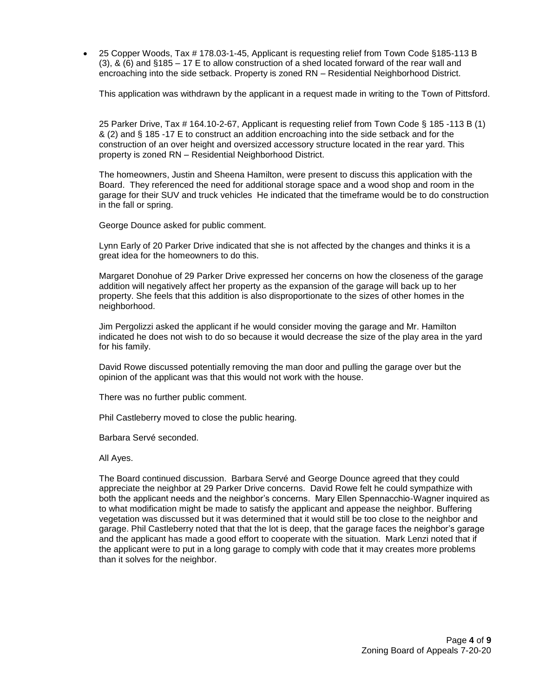25 Copper Woods, Tax # 178.03-1-45, Applicant is requesting relief from Town Code §185-113 B (3), & (6) and §185 – 17 E to allow construction of a shed located forward of the rear wall and encroaching into the side setback. Property is zoned RN – Residential Neighborhood District.

This application was withdrawn by the applicant in a request made in writing to the Town of Pittsford.

25 Parker Drive, Tax # 164.10-2-67, Applicant is requesting relief from Town Code § 185 -113 B (1) & (2) and § 185 -17 E to construct an addition encroaching into the side setback and for the construction of an over height and oversized accessory structure located in the rear yard. This property is zoned RN – Residential Neighborhood District.

The homeowners, Justin and Sheena Hamilton, were present to discuss this application with the Board. They referenced the need for additional storage space and a wood shop and room in the garage for their SUV and truck vehicles He indicated that the timeframe would be to do construction in the fall or spring.

George Dounce asked for public comment.

Lynn Early of 20 Parker Drive indicated that she is not affected by the changes and thinks it is a great idea for the homeowners to do this.

Margaret Donohue of 29 Parker Drive expressed her concerns on how the closeness of the garage addition will negatively affect her property as the expansion of the garage will back up to her property. She feels that this addition is also disproportionate to the sizes of other homes in the neighborhood.

Jim Pergolizzi asked the applicant if he would consider moving the garage and Mr. Hamilton indicated he does not wish to do so because it would decrease the size of the play area in the yard for his family.

David Rowe discussed potentially removing the man door and pulling the garage over but the opinion of the applicant was that this would not work with the house.

There was no further public comment.

Phil Castleberry moved to close the public hearing.

Barbara Servé seconded.

All Ayes.

The Board continued discussion. Barbara Servé and George Dounce agreed that they could appreciate the neighbor at 29 Parker Drive concerns. David Rowe felt he could sympathize with both the applicant needs and the neighbor's concerns. Mary Ellen Spennacchio-Wagner inquired as to what modification might be made to satisfy the applicant and appease the neighbor. Buffering vegetation was discussed but it was determined that it would still be too close to the neighbor and garage. Phil Castleberry noted that that the lot is deep, that the garage faces the neighbor's garage and the applicant has made a good effort to cooperate with the situation. Mark Lenzi noted that if the applicant were to put in a long garage to comply with code that it may creates more problems than it solves for the neighbor.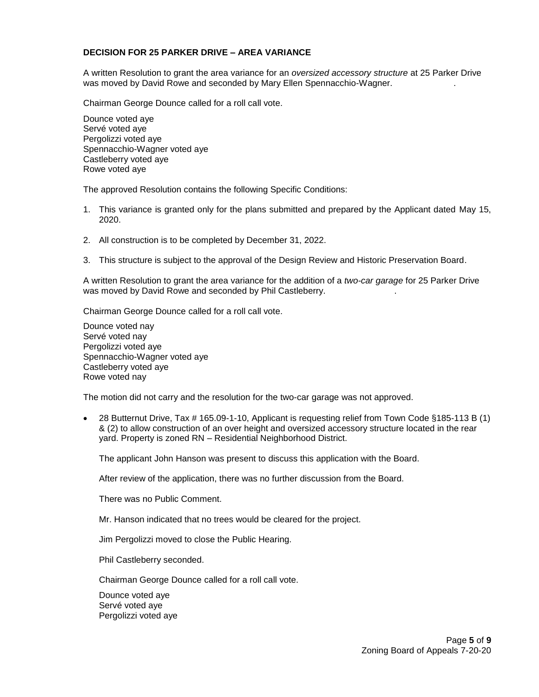#### **DECISION FOR 25 PARKER DRIVE – AREA VARIANCE**

A written Resolution to grant the area variance for an *oversized accessory structure* at 25 Parker Drive was moved by David Rowe and seconded by Mary Ellen Spennacchio-Wagner. .

Chairman George Dounce called for a roll call vote.

Dounce voted aye Servé voted aye Pergolizzi voted aye Spennacchio-Wagner voted aye Castleberry voted aye Rowe voted aye

The approved Resolution contains the following Specific Conditions:

- 1. This variance is granted only for the plans submitted and prepared by the Applicant dated May 15, 2020.
- 2. All construction is to be completed by December 31, 2022.
- 3. This structure is subject to the approval of the Design Review and Historic Preservation Board.

A written Resolution to grant the area variance for the addition of a *two-car garage* for 25 Parker Drive was moved by David Rowe and seconded by Phil Castleberry. .

Chairman George Dounce called for a roll call vote.

Dounce voted nay Servé voted nay Pergolizzi voted aye Spennacchio-Wagner voted aye Castleberry voted aye Rowe voted nay

The motion did not carry and the resolution for the two-car garage was not approved.

 28 Butternut Drive, Tax # 165.09-1-10, Applicant is requesting relief from Town Code §185-113 B (1) & (2) to allow construction of an over height and oversized accessory structure located in the rear yard. Property is zoned RN – Residential Neighborhood District.

The applicant John Hanson was present to discuss this application with the Board.

After review of the application, there was no further discussion from the Board.

There was no Public Comment.

Mr. Hanson indicated that no trees would be cleared for the project.

Jim Pergolizzi moved to close the Public Hearing.

Phil Castleberry seconded.

Chairman George Dounce called for a roll call vote.

Dounce voted aye Servé voted aye Pergolizzi voted aye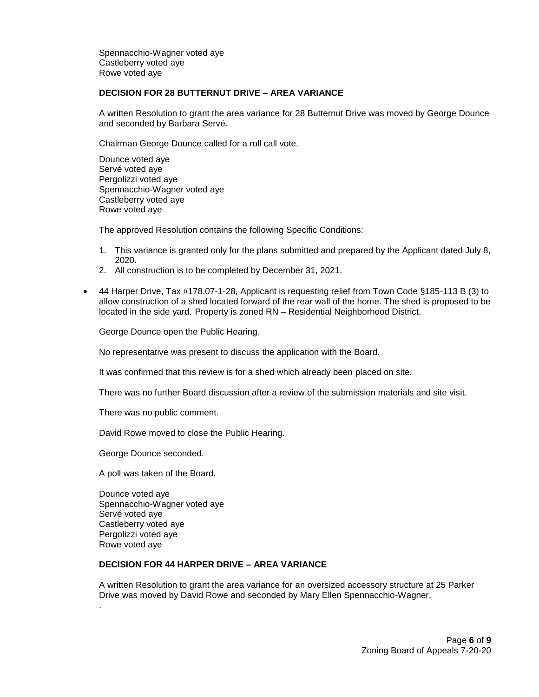Spennacchio-Wagner voted aye Castleberry voted aye Rowe voted aye

#### **DECISION FOR 28 BUTTERNUT DRIVE – AREA VARIANCE**

A written Resolution to grant the area variance for 28 Butternut Drive was moved by George Dounce and seconded by Barbara Servé.

Chairman George Dounce called for a roll call vote.

Dounce voted aye Servé voted aye Pergolizzi voted aye Spennacchio-Wagner voted aye Castleberry voted aye Rowe voted aye

The approved Resolution contains the following Specific Conditions:

- 1. This variance is granted only for the plans submitted and prepared by the Applicant dated July 8, 2020.
- 2. All construction is to be completed by December 31, 2021.
- 44 Harper Drive, Tax #178.07-1-28, Applicant is requesting relief from Town Code §185-113 B (3) to allow construction of a shed located forward of the rear wall of the home. The shed is proposed to be located in the side yard. Property is zoned RN – Residential Neighborhood District.

George Dounce open the Public Hearing.

No representative was present to discuss the application with the Board.

It was confirmed that this review is for a shed which already been placed on site.

There was no further Board discussion after a review of the submission materials and site visit.

There was no public comment.

David Rowe moved to close the Public Hearing.

George Dounce seconded.

A poll was taken of the Board.

Dounce voted aye Spennacchio-Wagner voted aye Servé voted aye Castleberry voted aye Pergolizzi voted aye Rowe voted aye

.

# **DECISION FOR 44 HARPER DRIVE – AREA VARIANCE**

A written Resolution to grant the area variance for an oversized accessory structure at 25 Parker Drive was moved by David Rowe and seconded by Mary Ellen Spennacchio-Wagner.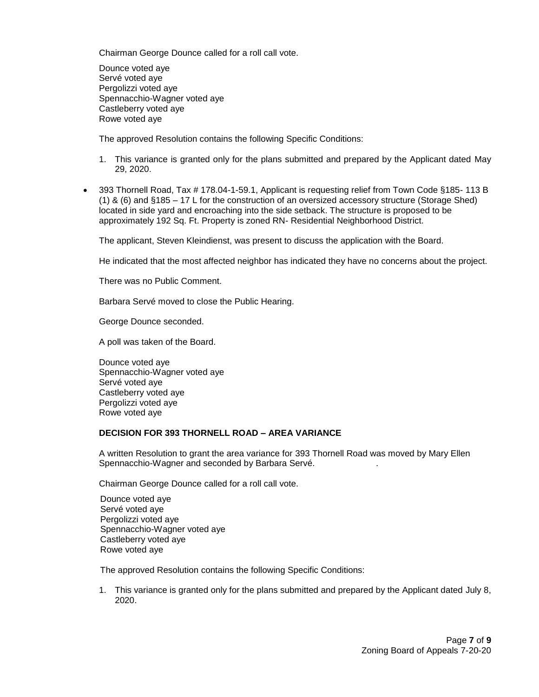Chairman George Dounce called for a roll call vote.

Dounce voted aye Servé voted aye Pergolizzi voted aye Spennacchio-Wagner voted aye Castleberry voted aye Rowe voted aye

The approved Resolution contains the following Specific Conditions:

- 1. This variance is granted only for the plans submitted and prepared by the Applicant dated May 29, 2020.
- 393 Thornell Road, Tax # 178.04-1-59.1, Applicant is requesting relief from Town Code §185- 113 B (1) & (6) and §185 – 17 L for the construction of an oversized accessory structure (Storage Shed) located in side yard and encroaching into the side setback. The structure is proposed to be approximately 192 Sq. Ft. Property is zoned RN- Residential Neighborhood District.

The applicant, Steven Kleindienst, was present to discuss the application with the Board.

He indicated that the most affected neighbor has indicated they have no concerns about the project.

There was no Public Comment.

Barbara Servé moved to close the Public Hearing.

George Dounce seconded.

A poll was taken of the Board.

Dounce voted aye Spennacchio-Wagner voted aye Servé voted aye Castleberry voted aye Pergolizzi voted aye Rowe voted aye

# **DECISION FOR 393 THORNELL ROAD – AREA VARIANCE**

A written Resolution to grant the area variance for 393 Thornell Road was moved by Mary Ellen Spennacchio-Wagner and seconded by Barbara Servé. .

Chairman George Dounce called for a roll call vote.

 Dounce voted aye Servé voted aye Pergolizzi voted aye Spennacchio-Wagner voted aye Castleberry voted aye Rowe voted aye

The approved Resolution contains the following Specific Conditions:

1. This variance is granted only for the plans submitted and prepared by the Applicant dated July 8, 2020.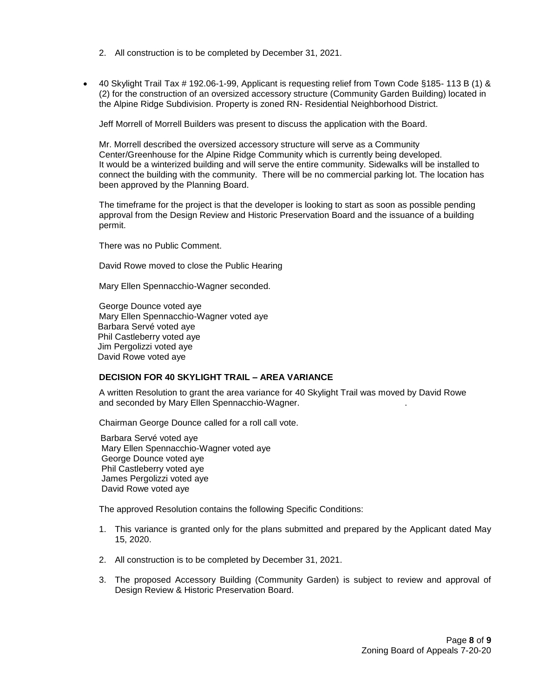- 2. All construction is to be completed by December 31, 2021.
- 40 Skylight Trail Tax # 192.06-1-99, Applicant is requesting relief from Town Code §185- 113 B (1) & (2) for the construction of an oversized accessory structure (Community Garden Building) located in the Alpine Ridge Subdivision. Property is zoned RN- Residential Neighborhood District.

Jeff Morrell of Morrell Builders was present to discuss the application with the Board.

Mr. Morrell described the oversized accessory structure will serve as a Community Center/Greenhouse for the Alpine Ridge Community which is currently being developed. It would be a winterized building and will serve the entire community. Sidewalks will be installed to connect the building with the community. There will be no commercial parking lot. The location has been approved by the Planning Board.

The timeframe for the project is that the developer is looking to start as soon as possible pending approval from the Design Review and Historic Preservation Board and the issuance of a building permit.

There was no Public Comment.

David Rowe moved to close the Public Hearing

Mary Ellen Spennacchio-Wagner seconded.

George Dounce voted aye Mary Ellen Spennacchio-Wagner voted aye Barbara Servé voted aye Phil Castleberry voted aye Jim Pergolizzi voted aye David Rowe voted aye

## **DECISION FOR 40 SKYLIGHT TRAIL – AREA VARIANCE**

A written Resolution to grant the area variance for 40 Skylight Trail was moved by David Rowe and seconded by Mary Ellen Spennacchio-Wagner. .

Chairman George Dounce called for a roll call vote.

 Barbara Servé voted aye Mary Ellen Spennacchio-Wagner voted aye George Dounce voted aye Phil Castleberry voted aye James Pergolizzi voted aye David Rowe voted aye

The approved Resolution contains the following Specific Conditions:

- 1. This variance is granted only for the plans submitted and prepared by the Applicant dated May 15, 2020.
- 2. All construction is to be completed by December 31, 2021.
- 3. The proposed Accessory Building (Community Garden) is subject to review and approval of Design Review & Historic Preservation Board.